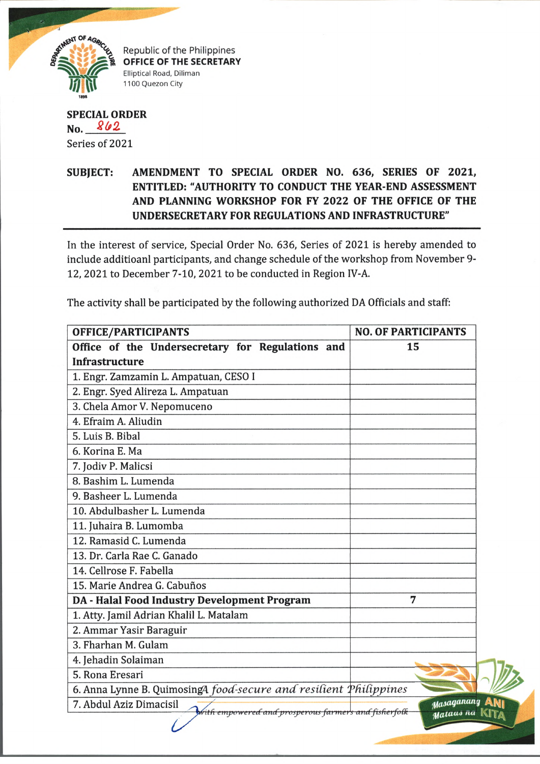

Republic of the Philippines OFFICE OF THE SECRETARY Elliptical Road, Diliman 1100 Quezon City

## **SPECIAL ORDER No.** *8b2.* Series of 2021

## **SUBJECT: AMENDMENT TO SPECIAL ORDER NO. 636, SERIES OF 2021, ENTITLED: "AUTHORITY TO CONDUCT THE YEAR-END ASSESSMENT AND PLANNING WORKSHOP FOR FY 2022 OF THE OFFICE OF THE UNDERSECRETARY FOR REGULATIONS AND INFRASTRUCTURE"**

In the interest of service, Special Order No. 636, Series of 2021 is hereby amended to include additioanl participants, and change schedule of the workshop from November 9- 12, 2021 to December 7-10, 2021 to be conducted in Region IV-A.

| OFFICE/PARTICIPANTS                                                             | <b>NO. OF PARTICIPANTS</b> |
|---------------------------------------------------------------------------------|----------------------------|
| Office of the Undersecretary for Regulations and                                | 15                         |
| <b>Infrastructure</b>                                                           |                            |
| 1. Engr. Zamzamin L. Ampatuan, CESO I                                           |                            |
| 2. Engr. Syed Alireza L. Ampatuan                                               |                            |
| 3. Chela Amor V. Nepomuceno                                                     |                            |
| 4. Efraim A. Aliudin                                                            |                            |
| 5. Luis B. Bibal                                                                |                            |
| 6. Korina E. Ma                                                                 |                            |
| 7. Jodiv P. Malicsi                                                             |                            |
| 8. Bashim L. Lumenda                                                            |                            |
| 9. Basheer L. Lumenda                                                           |                            |
| 10. Abdulbasher L. Lumenda                                                      |                            |
| 11. Juhaira B. Lumomba                                                          |                            |
| 12. Ramasid C. Lumenda                                                          |                            |
| 13. Dr. Carla Rae C. Ganado                                                     |                            |
| 14. Cellrose F. Fabella                                                         |                            |
| 15. Marie Andrea G. Cabuños                                                     |                            |
| DA - Halal Food Industry Development Program                                    | 7                          |
| 1. Atty. Jamil Adrian Khalil L. Matalam                                         |                            |
| 2. Ammar Yasir Baraguir                                                         |                            |
| 3. Fharhan M. Gulam                                                             |                            |
| 4. Jehadin Solaiman                                                             |                            |
| 5. Rona Eresari                                                                 |                            |
| 6. Anna Lynne B. QuimosingA food-secure and resilient Philippines               |                            |
| 7. Abdul Aziz Dimacisil<br>with empowered and prosperous farmers and fisherfolk | Masaganang                 |
|                                                                                 | Mataus na                  |

The activity shall be participated by the following authorized DA Officials and staff: